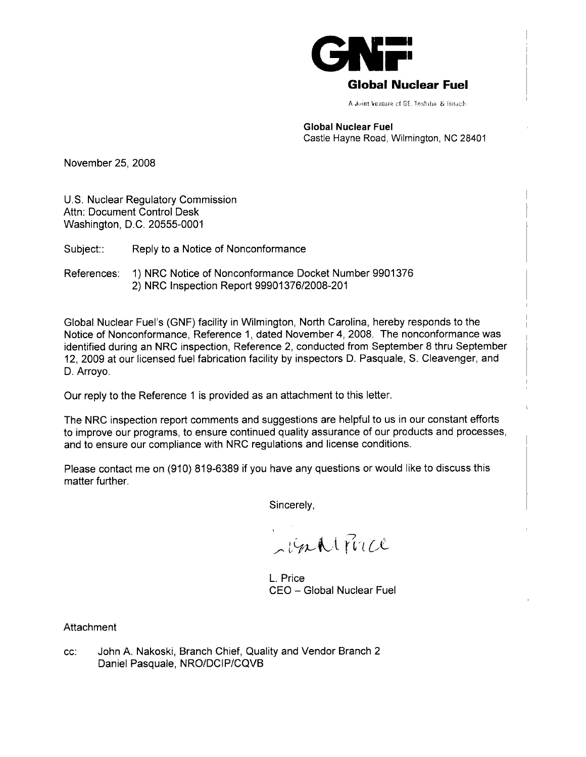

# **Global Nuclear Fuel**

A **Joint Venture of GE, Joshiba, & Hitach:** 

#### **Global Nuclear Fuel**  Castle Hayne Road, Wilrnington, NC 28401

November 25, 2008

U.S. Nuclear Regulatory Commission Attn: Document Control Desk Washington, D.C. 20555-0001

Subject:: Reply to a Notice of Nonconformance

References: 1) NRC Notice of Nonconformance Docket Number 9901376 2) NRC Inspection Report 99901 37612008-201

Global Nuclear Fuel's (GNF) facility in Wilmington, North Carolina, hereby responds to the Notice of Nonconformance, Reference 1, dated November **4,** 2008. The nonconformance was identified during an NRC inspection, Reference 2, conducted from September 8 thru September 12, 2009 at our licensed fuel fabrication facility by inspectors D. Pasquale, S. Cleavenger, and D. Arroyo.

Our reply to the Reference 1 is provided as an attachment to this letter.

The NRC inspection report comments and suggestions are helpful to us in our constant efforts to improve our programs, to ensure continued quality assurance of our products and processes, and to ensure our compliance with NRC regulations and license conditions.

Please contact me on (910) 819-6389 if you have any questions or would like to discuss this matter further.

Sincerely,

inhifuce

L. Price CEO - Global Nuclear Fuel

**Attachment** 

cc: John A. Nakoski, Branch Chief, Quality and Vendor Branch 2 Daniel Pasquale, NRO/DCIP/CQVB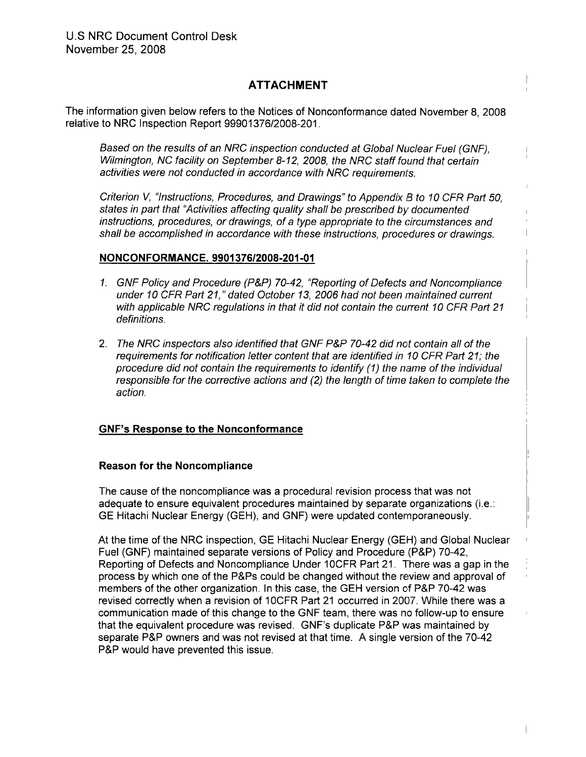# **ATTACHMENT**

The information given below refers to the Notices of Nonconformance dated November 8, 2008 relative to NRC Inspection Report 99901376/2008-201.

Based on the results of an NRC inspection conducted at Global Nuclear Fuel (GNF), Wilmington, NC facility on September 8-12, 2008, the NRC staff found that certain activities were not conducted in accordance with NRC requirements.

Criterion V, "Instructions, Procedures, and Drawings" to Appendix B to 10 CFR Part 50, states in part that "Activities affecting quality shall be prescribed by documented instructions, procedures, or drawings, of a type appropriate to the circumstances and shall be accomplished in accordance with these instructions, procedures or drawings.

### **NONCONFORMANCE. 9901 37612008-201-01** <sup>I</sup>

- 1. GNF Policy and Procedure (P&P) 70-42, "Reporting of Defects and Noncompliance under 10 CFR Part 21," dated October 13, 2006 had not been maintained current with applicable NRC regulations in that it did not contain the current 10 CFR Part 21 definitions. In the contract of the contract of the contract of the contract of the contract of the contract of the contract of the contract of the contract of the contract of the contract of the contract of the contract o
- 2. The NRC inspectors also identified that GNF P&P 70-42 did not contain all of the requirements for notification letter content that are identified in 10 CFR Part 21; the procedure did not contain the requirements to identify (I) the name of the individual responsible for the corrective actions and (2) the length of time taken to complete the action.

## **GNF's Response to the Nonconformance**

#### **Reason for the Noncompliance**

The cause of the noncompliance was a procedural revision process that was not adequate to ensure equivalent procedures maintained by separate organizations (i.e.: GE Hitachi Nuclear Energy (GEH), and GNF) were updated contemporaneously.

At the time of the NRC inspection, GE Hitachi Nuclear Energy (GEH) and Global Nuclear Fuel (GNF) maintained separate versions of Policy and Procedure (P&P) 70-42, Reporting of Defects and Noncompliance Under IOCFR Part 21. There was a gap in the process by which one of the P&Ps could be changed without the review and approval of members of the other organization. In this case, the GEH version of P&P 70-42 was revised correctly when a revision of IOCFR Part 21 occurred in 2007. While there was a communication made of this change to the GNF team, there was no follow-up to ensure that the equivalent procedure was revised. GNF's duplicate P&P was maintained by separate P&P owners and was not revised at that time. A single version of the 70-42 P&P would have prevented this issue.